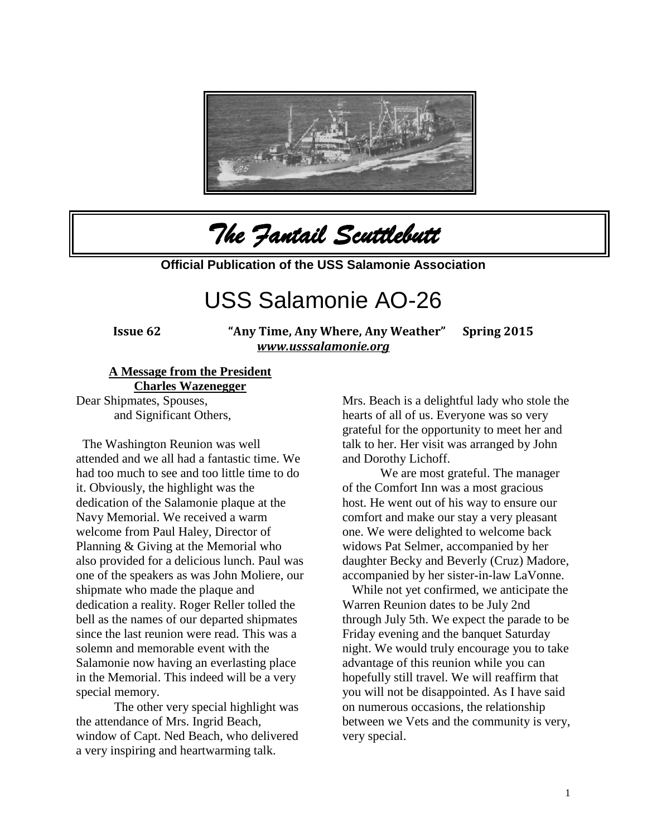

*The Fantail Scuttlebutt* 

**Official Publication of the USS Salamonie Association**

# USS Salamonie AO-26

**Issue 62 "Any Time, Any Where, Any Weather" Spring 2015**  *[www.usssalamonie.org](http://www.usssalamonie.org/)*

## **A Message from the President Charles Wazenegger**

Dear Shipmates, Spouses, and Significant Others,

The Washington Reunion was well attended and we all had a fantastic time. We had too much to see and too little time to do it. Obviously, the highlight was the dedication of the Salamonie plaque at the Navy Memorial. We received a warm welcome from Paul Haley, Director of Planning & Giving at the Memorial who also provided for a delicious lunch. Paul was one of the speakers as was John Moliere, our shipmate who made the plaque and dedication a reality. Roger Reller tolled the bell as the names of our departed shipmates since the last reunion were read. This was a solemn and memorable event with the Salamonie now having an everlasting place in the Memorial. This indeed will be a very special memory.

The other very special highlight was the attendance of Mrs. Ingrid Beach, window of Capt. Ned Beach, who delivered a very inspiring and heartwarming talk.

Mrs. Beach is a delightful lady who stole the hearts of all of us. Everyone was so very grateful for the opportunity to meet her and talk to her. Her visit was arranged by John and Dorothy Lichoff.

We are most grateful. The manager of the Comfort Inn was a most gracious host. He went out of his way to ensure our comfort and make our stay a very pleasant one. We were delighted to welcome back widows Pat Selmer, accompanied by her daughter Becky and Beverly (Cruz) Madore, accompanied by her sister-in-law LaVonne.

 While not yet confirmed, we anticipate the Warren Reunion dates to be July 2nd through July 5th. We expect the parade to be Friday evening and the banquet Saturday night. We would truly encourage you to take advantage of this reunion while you can hopefully still travel. We will reaffirm that you will not be disappointed. As I have said on numerous occasions, the relationship between we Vets and the community is very, very special.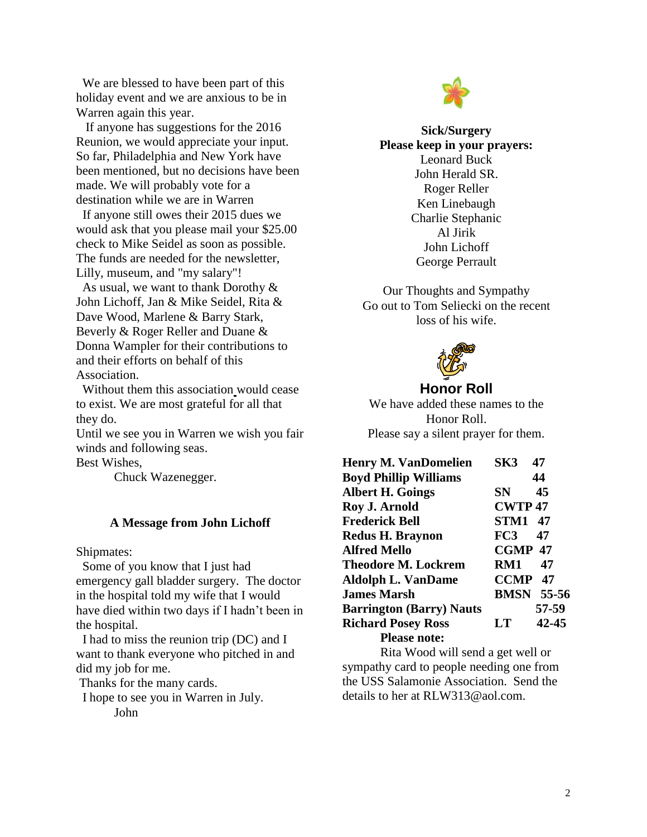We are blessed to have been part of this holiday event and we are anxious to be in Warren again this year.

 If anyone has suggestions for the 2016 Reunion, we would appreciate your input. So far, Philadelphia and New York have been mentioned, but no decisions have been made. We will probably vote for a destination while we are in Warren

If anyone still owes their 2015 dues we would ask that you please mail your \$25.00 check to Mike Seidel as soon as possible. The funds are needed for the newsletter, Lilly, museum, and "my salary"!

As usual, we want to thank Dorothy & John Lichoff, Jan & Mike Seidel, Rita & Dave Wood, Marlene & Barry Stark, Beverly & Roger Reller and Duane & Donna Wampler for their contributions to and their efforts on behalf of this Association.

 Without them this association would cease to exist. We are most grateful for all that they do.

Until we see you in Warren we wish you fair winds and following seas.

Best Wishes,

Chuck Wazenegger.

#### **A Message from John Lichoff**

Shipmates:

 Some of you know that I just had emergency gall bladder surgery. The doctor in the hospital told my wife that I would have died within two days if I hadn't been in the hospital.

 I had to miss the reunion trip (DC) and I want to thank everyone who pitched in and did my job for me.

Thanks for the many cards.

I hope to see you in Warren in July.

John



**Sick/Surgery Please keep in your prayers:** Leonard Buck John Herald SR. Roger Reller Ken Linebaugh Charlie Stephanic Al Jirik John Lichoff George Perrault

Our Thoughts and Sympathy Go out to Tom Seliecki on the recent loss of his wife.



### **Honor Roll**

We have added these names to the Honor Roll. Please say a silent prayer for them.

| <b>Henry M. VanDomelien</b>     | SK3            | 47                |
|---------------------------------|----------------|-------------------|
| <b>Boyd Phillip Williams</b>    |                | 44                |
| <b>Albert H. Goings</b>         | SN.            | 45                |
| Roy J. Arnold                   | <b>CWTP47</b>  |                   |
| <b>Frederick Bell</b>           | STM1           | 47                |
| <b>Redus H. Braynon</b>         | FC3            | 47                |
| <b>Alfred Mello</b>             | <b>CGMP 47</b> |                   |
| <b>Theodore M. Lockrem</b>      | RM1            | 47                |
| <b>Aldolph L. VanDame</b>       | <b>CCMP</b>    | 47                |
| <b>James Marsh</b>              |                | <b>BMSN</b> 55-56 |
| <b>Barrington (Barry) Nauts</b> |                | 57-59             |
| <b>Richard Posey Ross</b>       | LT             | 42-45             |
| <b>Please note:</b>             |                |                   |

Rita Wood will send a get well or sympathy card to people needing one from the USS Salamonie Association. Send the details to her at RLW313@aol.com.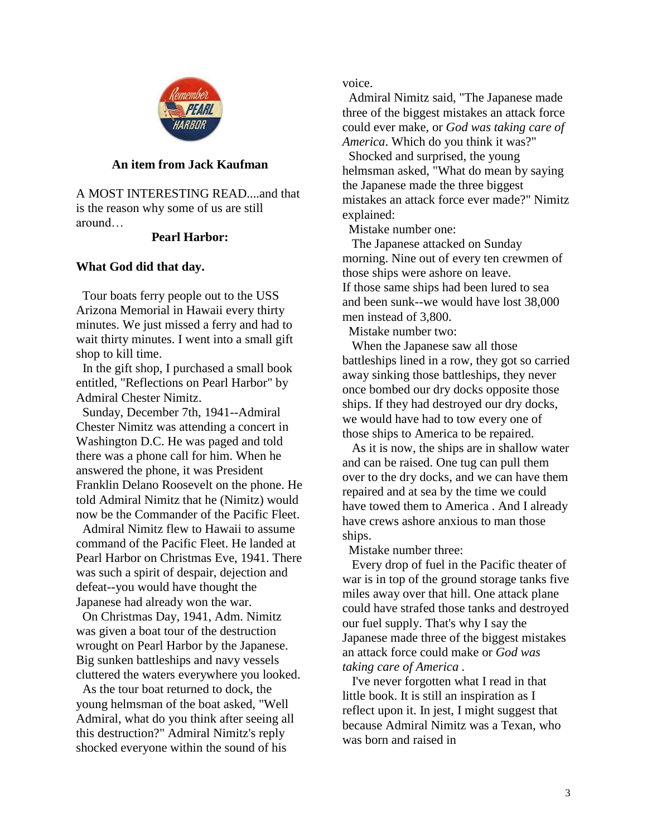

#### **An item from Jack Kaufman**

A MOST INTERESTING READ....and that is the reason why some of us are still around…

#### **Pearl Harbor:**

#### **What God did that day.**

 Tour boats ferry people out to the USS Arizona Memorial in Hawaii every thirty minutes. We just missed a ferry and had to wait thirty minutes. I went into a small gift shop to kill time.

 In the gift shop, I purchased a small book entitled, "Reflections on Pearl Harbor" by Admiral Chester Nimitz.

 Sunday, December 7th, 1941--Admiral Chester Nimitz was attending a concert in Washington D.C. He was paged and told there was a phone call for him. When he answered the phone, it was President Franklin Delano Roosevelt on the phone. He told Admiral Nimitz that he (Nimitz) would now be the Commander of the Pacific Fleet.

 Admiral Nimitz flew to Hawaii to assume command of the Pacific Fleet. He landed at Pearl Harbor on Christmas Eve, 1941. There was such a spirit of despair, dejection and defeat--you would have thought the Japanese had already won the war.

 On Christmas Day, 1941, Adm. Nimitz was given a boat tour of the destruction wrought on Pearl Harbor by the Japanese. Big sunken battleships and navy vessels cluttered the waters everywhere you looked.

 As the tour boat returned to dock, the young helmsman of the boat asked, "Well Admiral, what do you think after seeing all this destruction?" Admiral Nimitz's reply shocked everyone within the sound of his

voice.

 Admiral Nimitz said, "The Japanese made three of the biggest mistakes an attack force could ever make, or *God was taking care of America*. Which do you think it was?"

 Shocked and surprised, the young helmsman asked, "What do mean by saying the Japanese made the three biggest mistakes an attack force ever made?" Nimitz explained:

Mistake number one:

 The Japanese attacked on Sunday morning. Nine out of every ten crewmen of those ships were ashore on leave. If those same ships had been lured to sea and been sunk--we would have lost 38,000 men instead of 3,800.

Mistake number two:

 When the Japanese saw all those battleships lined in a row, they got so carried away sinking those battleships, they never once bombed our dry docks opposite those ships. If they had destroyed our dry docks, we would have had to tow every one of those ships to America to be repaired.

 As it is now, the ships are in shallow water and can be raised. One tug can pull them over to the dry docks, and we can have them repaired and at sea by the time we could have towed them to America . And I already have crews ashore anxious to man those ships.

Mistake number three:

 Every drop of fuel in the Pacific theater of war is in top of the ground storage tanks five miles away over that hill. One attack plane could have strafed those tanks and destroyed our fuel supply. That's why I say the Japanese made three of the biggest mistakes an attack force could make or *God was taking care of America .*

 I've never forgotten what I read in that little book. It is still an inspiration as I reflect upon it. In jest, I might suggest that because Admiral Nimitz was a Texan, who was born and raised in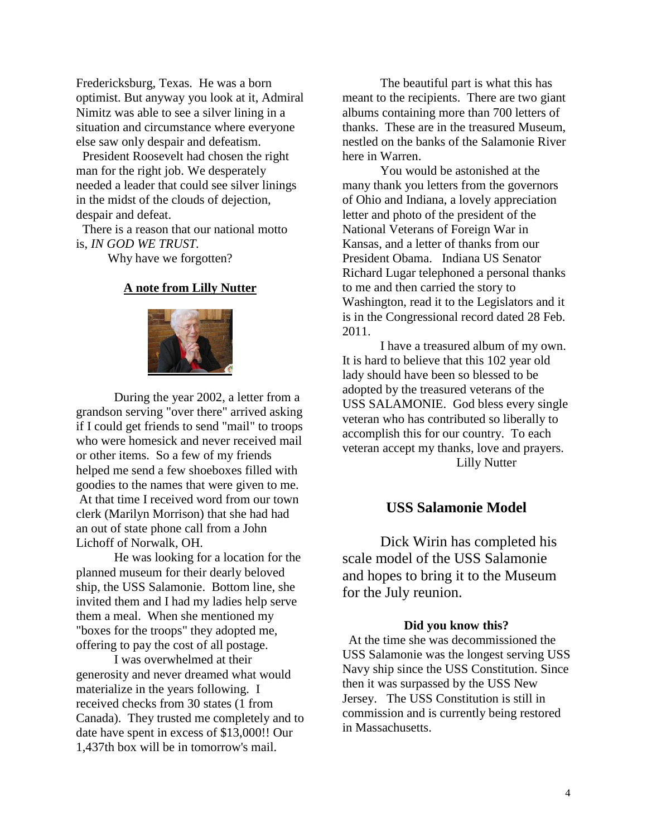Fredericksburg, Texas. He was a born optimist. But anyway you look at it, Admiral Nimitz was able to see a silver lining in a situation and circumstance where everyone else saw only despair and defeatism.

 President Roosevelt had chosen the right man for the right job. We desperately needed a leader that could see silver linings in the midst of the clouds of dejection, despair and defeat.

 There is a reason that our national motto is, *IN GOD WE TRUST.*

Why have we forgotten?

#### **A note from Lilly Nutter**



During the year 2002, a letter from a grandson serving "over there" arrived asking if I could get friends to send "mail" to troops who were homesick and never received mail or other items. So a few of my friends helped me send a few shoeboxes filled with goodies to the names that were given to me. At that time I received word from our town clerk (Marilyn Morrison) that she had had an out of state phone call from a John Lichoff of Norwalk, OH.

He was looking for a location for the planned museum for their dearly beloved ship, the USS Salamonie. Bottom line, she invited them and I had my ladies help serve them a meal. When she mentioned my "boxes for the troops" they adopted me, offering to pay the cost of all postage.

I was overwhelmed at their generosity and never dreamed what would materialize in the years following. I received checks from 30 states (1 from Canada). They trusted me completely and to date have spent in excess of \$13,000!! Our 1,437th box will be in tomorrow's mail.

The beautiful part is what this has meant to the recipients. There are two giant albums containing more than 700 letters of thanks. These are in the treasured Museum, nestled on the banks of the Salamonie River here in Warren.

You would be astonished at the many thank you letters from the governors of Ohio and Indiana, a lovely appreciation letter and photo of the president of the National Veterans of Foreign War in Kansas, and a letter of thanks from our President Obama. Indiana US Senator Richard Lugar telephoned a personal thanks to me and then carried the story to Washington, read it to the Legislators and it is in the Congressional record dated 28 Feb. 2011.

I have a treasured album of my own. It is hard to believe that this 102 year old lady should have been so blessed to be adopted by the treasured veterans of the USS SALAMONIE. God bless every single veteran who has contributed so liberally to accomplish this for our country. To each veteran accept my thanks, love and prayers. Lilly Nutter

# **USS Salamonie Model**

Dick Wirin has completed his scale model of the USS Salamonie and hopes to bring it to the Museum for the July reunion.

#### **Did you know this?**

 At the time she was decommissioned the USS Salamonie was the longest serving USS Navy ship since the USS Constitution. Since then it was surpassed by the USS New Jersey. The USS Constitution is still in commission and is currently being restored in Massachusetts.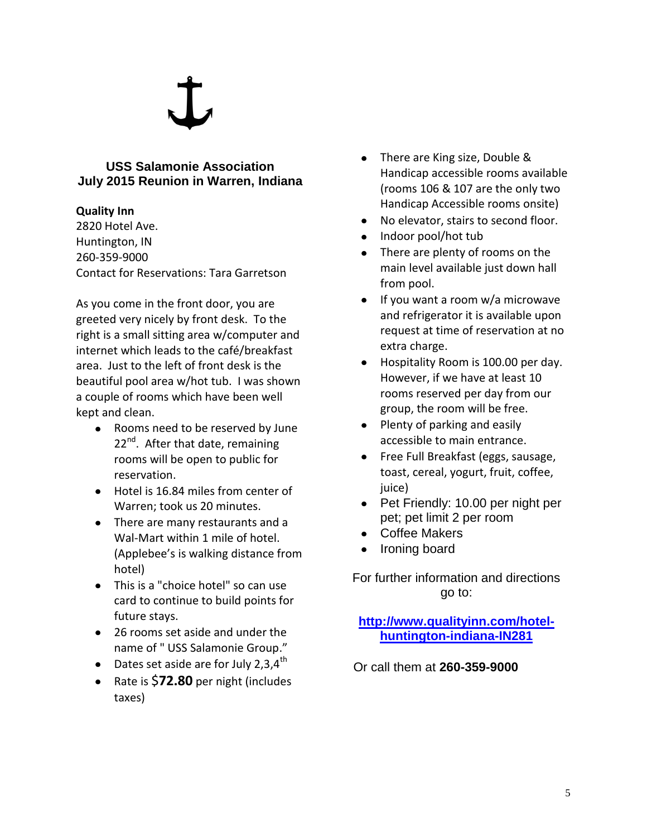# **USS Salamonie Association July 2015 Reunion in Warren, Indiana**

# **Quality Inn**

2820 Hotel Ave. Huntington, IN 260-359-9000 Contact for Reservations: Tara Garretson

As you come in the front door, you are greeted very nicely by front desk. To the right is a small sitting area w/computer and internet which leads to the café/breakfast area. Just to the left of front desk is the beautiful pool area w/hot tub. I was shown a couple of rooms which have been well kept and clean.

- Rooms need to be reserved by June 22<sup>nd</sup>. After that date, remaining rooms will be open to public for reservation.
- Hotel is 16.84 miles from center of Warren; took us 20 minutes.
- There are many restaurants and a Wal-Mart within 1 mile of hotel. (Applebee's is walking distance from hotel)
- This is a "choice hotel" so can use card to continue to build points for future stays.
- 26 rooms set aside and under the name of " USS Salamonie Group."
- Dates set aside are for July 2,3,4<sup>th</sup>
- Rate is \$**72.80** per night (includes taxes)
- There are King size, Double & Handicap accessible rooms available (rooms 106 & 107 are the only two Handicap Accessible rooms onsite)
- No elevator, stairs to second floor.
- Indoor pool/hot tub
- There are plenty of rooms on the main level available just down hall from pool.
- If you want a room w/a microwave and refrigerator it is available upon request at time of reservation at no extra charge.
- Hospitality Room is 100.00 per day. However, if we have at least 10 rooms reserved per day from our group, the room will be free.
- Plenty of parking and easily accessible to main entrance.
- Free Full Breakfast (eggs, sausage, toast, cereal, yogurt, fruit, coffee, juice)
- Pet Friendly: 10.00 per night per pet; pet limit 2 per room
- Coffee Makers
- Ironing board

For further information and directions go to:

**[http://www.qualityinn.com/hotel](http://www.qualityinn.com/hotel-huntington-indiana-IN281)[huntington-indiana-IN281](http://www.qualityinn.com/hotel-huntington-indiana-IN281)**

Or call them at **260-359-9000**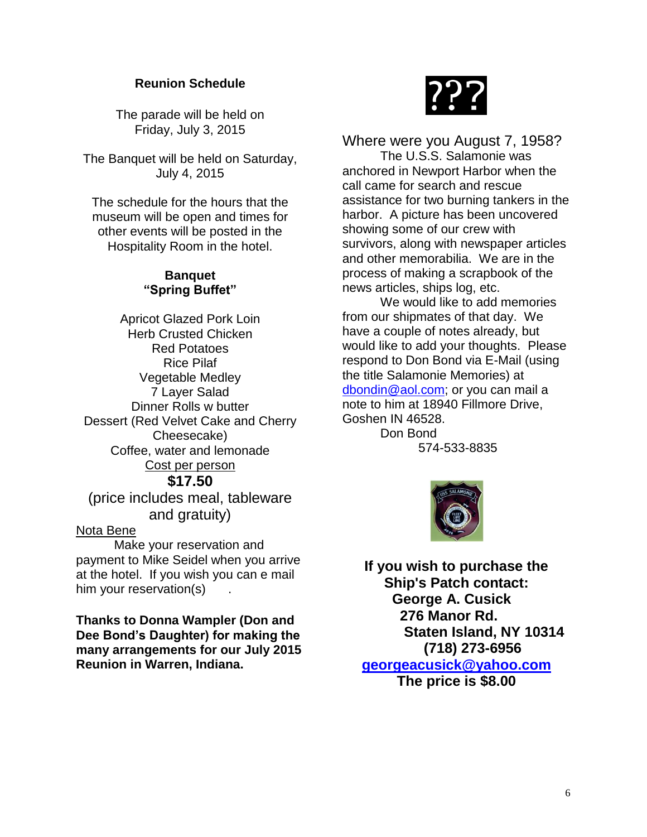# **Reunion Schedule**

The parade will be held on Friday, July 3, 2015

The Banquet will be held on Saturday, July 4, 2015

The schedule for the hours that the museum will be open and times for other events will be posted in the Hospitality Room in the hotel.

# **Banquet "Spring Buffet"**

Apricot Glazed Pork Loin Herb Crusted Chicken Red Potatoes Rice Pilaf Vegetable Medley 7 Layer Salad Dinner Rolls w butter Dessert (Red Velvet Cake and Cherry Cheesecake) Coffee, water and lemonade Cost per person

# **\$17.50**

(price includes meal, tableware and gratuity)

#### Nota Bene

Make your reservation and payment to Mike Seidel when you arrive at the hotel. If you wish you can e mail him your reservation(s)

**Thanks to Donna Wampler (Don and Dee Bond's Daughter) for making the many arrangements for our July 2015 Reunion in Warren, Indiana.**



# Where were you August 7, 1958?

The U.S.S. Salamonie was anchored in Newport Harbor when the call came for search and rescue assistance for two burning tankers in the harbor. A picture has been uncovered showing some of our crew with survivors, along with newspaper articles and other memorabilia. We are in the process of making a scrapbook of the news articles, ships log, etc.

We would like to add memories from our shipmates of that day. We have a couple of notes already, but would like to add your thoughts. Please respond to Don Bond via E-Mail (using the title Salamonie Memories) at [dbondin@aol.com;](mailto:dbondin@aol.com) or you can mail a note to him at 18940 Fillmore Drive, Goshen IN 46528. Don Bond

574-533-8835



**If you wish to purchase the Ship's Patch contact: George A. Cusick 276 Manor Rd. Staten Island, NY 10314 (718) 273-6956 [georgeacusick@yahoo.com](mailto:georgeacusick@yahoo.com) The price is \$8.00**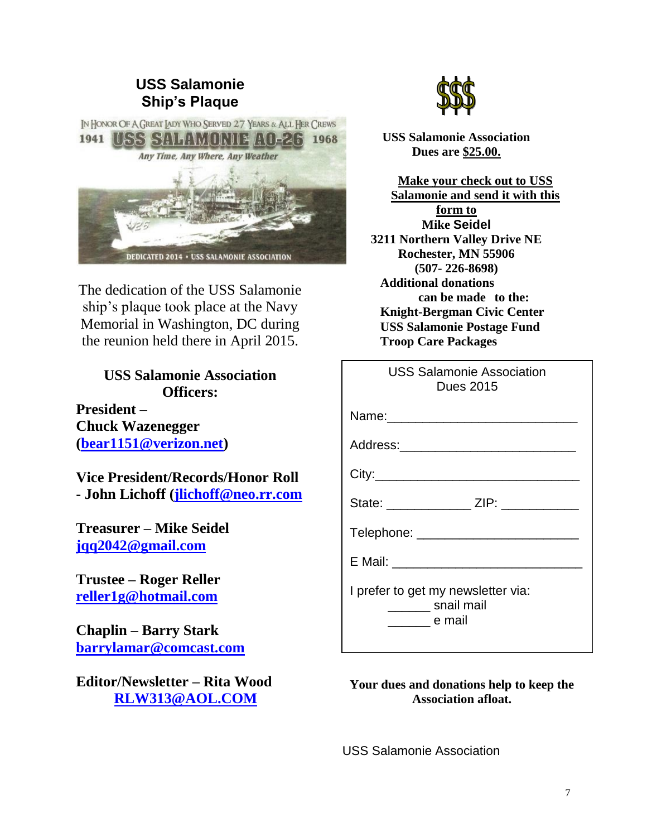# **USS Salamonie Ship's Plaque**



The dedication of the USS Salamonie ship's plaque took place at the Navy Memorial in Washington, DC during the reunion held there in April 2015.

# **USS Salamonie Association Officers:**

**President – Chuck Wazenegger [\(bear1151@verizon.net\)](mailto:bear1151@verizon.net)**

**Vice President/Records/Honor Roll - John Lichoff [\(jlichoff@neo.rr.com](mailto:jlichoff@neo.rr.com)**

**Treasurer – Mike Seidel [jqq2042@gmail.com](mailto:jqq2042@gmail.com)**

**Trustee – Roger Reller [reller1g@hotmail.com](mailto:reller1g@hotmail.com)**

**Chaplin – Barry Stark [barrylamar@comcast.com](mailto:barrylamar@comcast.com)**

**Editor/Newsletter – Rita Wood [RLW313@AOL.COM](mailto:RLW313@AOL.COM)**



**USS Salamonie Association Dues are \$25.00.**

**Make your check out to USS Salamonie and send it with this form to Mike Seidel 3211 Northern Valley Drive NE Rochester, MN 55906 (507- 226-8698) Additional donations can be made to the: Knight-Bergman Civic Center USS Salamonie Postage Fund Troop Care Packages**

| <b>USS Salamonie Association</b><br><b>Dues 2015</b>                |
|---------------------------------------------------------------------|
|                                                                     |
|                                                                     |
|                                                                     |
| State: ________________ ZIP: ____________                           |
|                                                                     |
|                                                                     |
| I prefer to get my newsletter via:<br>________ snail mail<br>e mail |

# **Your dues and donations help to keep the Association afloat.**

USS Salamonie Association